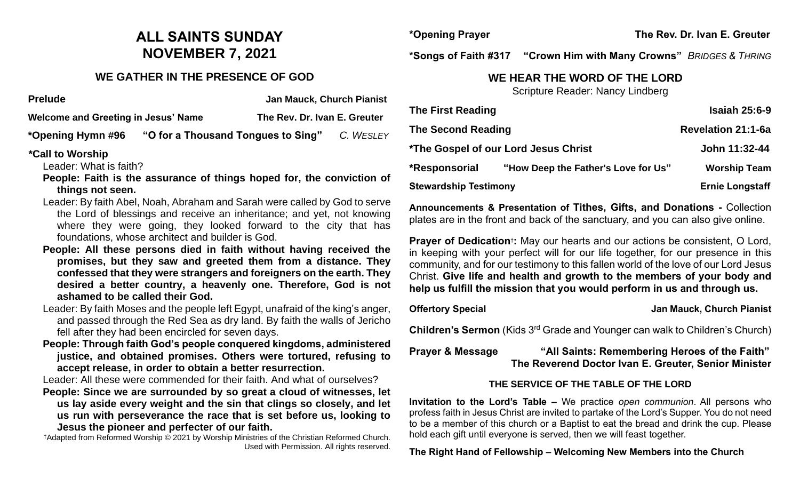# **ALL SAINTS SUNDAY NOVEMBER 7, 2021**

# **WE GATHER IN THE PRESENCE OF GOD**

| <b>Prelude</b>                      |                                    | <b>Jan Mauck, Church Pianist</b> |           |
|-------------------------------------|------------------------------------|----------------------------------|-----------|
| Welcome and Greeting in Jesus' Name |                                    | The Rev. Dr. Ivan E. Greuter     |           |
| *Opening Hymn #96                   | "O for a Thousand Tongues to Sing" |                                  | C. WESLEY |

#### **\*Call to Worship**

Leader: What is faith?

- **People: Faith is the assurance of things hoped for, the conviction of things not seen.**
- Leader: By faith Abel, Noah, Abraham and Sarah were called by God to serve the Lord of blessings and receive an inheritance; and yet, not knowing where they were going, they looked forward to the city that has foundations, whose architect and builder is God.
- **People: All these persons died in faith without having received the promises, but they saw and greeted them from a distance. They confessed that they were strangers and foreigners on the earth. They desired a better country, a heavenly one. Therefore, God is not ashamed to be called their God.**
- Leader: By faith Moses and the people left Egypt, unafraid of the king's anger, and passed through the Red Sea as dry land. By faith the walls of Jericho fell after they had been encircled for seven days.
- **People: Through faith God's people conquered kingdoms, administered justice, and obtained promises. Others were tortured, refusing to accept release, in order to obtain a better resurrection.**

Leader: All these were commended for their faith. And what of ourselves?

**People: Since we are surrounded by so great a cloud of witnesses, let us lay aside every weight and the sin that clings so closely, and let us run with perseverance the race that is set before us, looking to Jesus the pioneer and perfecter of our faith.**

†Adapted from Reformed Worship © 2021 by Worship Ministries of the Christian Reformed Church. Used with Permission. All rights reserved.

**\*Opening Prayer The Rev. Dr. Ivan E. Greuter**

**\*Songs of Faith #317 "Crown Him with Many Crowns"** *BRIDGES & THRING*

# **WE HEAR THE WORD OF THE LORD**

Scripture Reader: Nancy Lindberg

| <b>The First Reading</b>     |                                      | <b>Isaiah 25:6-9</b>      |
|------------------------------|--------------------------------------|---------------------------|
| <b>The Second Reading</b>    |                                      | <b>Revelation 21:1-6a</b> |
|                              | *The Gospel of our Lord Jesus Christ | John 11:32-44             |
| *Responsorial                | "How Deep the Father's Love for Us"  | <b>Worship Team</b>       |
| <b>Stewardship Testimony</b> |                                      | <b>Ernie Longstaff</b>    |

**Announcements & Presentation of Tithes, Gifts, and Donations -** Collection plates are in the front and back of the sanctuary, and you can also give online.

**Prayer of Dedication<sup>†</sup>:** May our hearts and our actions be consistent, O Lord, in keeping with your perfect will for our life together, for our presence in this community, and for our testimony to this fallen world of the love of our Lord Jesus Christ. **Give life and health and growth to the members of your body and help us fulfill the mission that you would perform in us and through us.** 

### **Offertory Special Community Community Community Community Community Community Community Community Community Community Community Community Community Community Community Community Community Community Community Community Com**

**Children's Sermon** (Kids 3rd Grade and Younger can walk to Children's Church)

**Prayer & Message "All Saints: Remembering Heroes of the Faith" The Reverend Doctor Ivan E. Greuter, Senior Minister**

# **THE SERVICE OF THE TABLE OF THE LORD**

**Invitation to the Lord's Table –** We practice *open communion*. All persons who profess faith in Jesus Christ are invited to partake of the Lord's Supper. You do not need to be a member of this church or a Baptist to eat the bread and drink the cup. Please hold each gift until everyone is served, then we will feast together.

# **The Right Hand of Fellowship – Welcoming New Members into the Church**